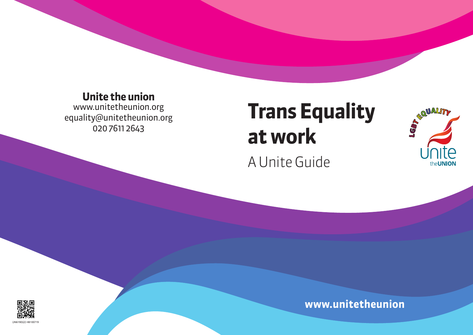**Unite the union**<br>www.unitetheunion.org equality@unitetheunion.org  $200761136/3$ 0<br>0<br>1<br>2<br>1<br>2<br>2<br>2<br>2<br>2<br>2<br>1<br>2<br>1<br>

# **www.unitetheunion**



# **Trans Equality at work**

A Unite Guide



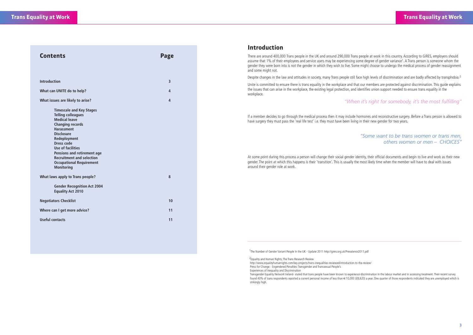| <b>Contents</b>                                                                                                                                                                                                                                                                                                                                       | <b>Page</b>    |
|-------------------------------------------------------------------------------------------------------------------------------------------------------------------------------------------------------------------------------------------------------------------------------------------------------------------------------------------------------|----------------|
|                                                                                                                                                                                                                                                                                                                                                       |                |
| <b>Introduction</b>                                                                                                                                                                                                                                                                                                                                   | 3              |
| What can UNITE do to help?                                                                                                                                                                                                                                                                                                                            | 4              |
| What issues are likely to arise?                                                                                                                                                                                                                                                                                                                      | $\overline{4}$ |
| <b>Timescale and Key Stages</b><br><b>Telling colleagues</b><br><b>Medical leave</b><br><b>Changing records</b><br><b>Harassment</b><br><b>Disclosure</b><br>Redeployment<br><b>Dress code</b><br><b>Use of facilities</b><br>Pensions and retirement age<br><b>Recruitment and selection</b><br><b>Occupational Requirement</b><br><b>Monitoring</b> |                |
| What laws apply to Trans people?                                                                                                                                                                                                                                                                                                                      | 8              |
| <b>Gender Recognition Act 2004</b><br><b>Equality Act 2010</b>                                                                                                                                                                                                                                                                                        |                |
| <b>Negotiators Checklist</b>                                                                                                                                                                                                                                                                                                                          | 10             |
| Where can I get more advice?                                                                                                                                                                                                                                                                                                                          | 11             |
| <b>Useful contacts</b>                                                                                                                                                                                                                                                                                                                                | 11             |

### **Introduction**

There are around 400,000 Trans people in the UK and around 290,000 Trans people at work in this country. According to GIRES, employers should assume that 1% of their employees and service users may be experiencing some degree of gender variance<sup>1</sup>. A Trans person is someone whom the gender they were born into is not the gender in which they wish to live. Some might choose to undergo the medical process of gender reassignment and some might not.

Despite changes in the law and attitudes in society, many Trans people still face high levels of discrimination and are badly affected by transphobia.<sup>2</sup>

Unite is committed to ensure there is trans equality in the workplace and that our members are protected against discrimination. This guide explains the issues that can arise in the workplace, the existing legal protection, and identifies union support needed to ensure trans equality in the workplace.

### *"When it's right for somebody, it's the most fulfilling"*

If a member decides to go through the medical process then it may include hormones and reconstructive surgery. Before a Trans person is allowed to have surgery they must pass the 'real life test' i.e. they must have been living in their new gender for two years.

### *"Some want to be trans women or trans men, others women or men – CHOICES"*

At some point during this process a person will change their social gender identity, their official documents and begin to live and work as their new gender. The point at which this happens is their 'transition'. This is usually the most likely time when the member will have to deal with issues around their gender role at work.

1The Number of Gender Variant People in the UK - Update 2011 http://gires.org.uk/Prevalence2011.pdf

2Equality and Human Rights, The Trans Research Review

 http://www.equalityhumanrights.com/key-projects/trans-inequalities-reviewed/introduction-to-the-review/ Press for Change - Engendered Penalties: Transgender and Transsexual People's Experiences of Inequality and Discrimination

 Transgender Equality Network Ireland- stated that trans people have been known to experience discrimination in the labour market and in accessing treatment. Their recent survey found 43% of trans respondents reported a current personal income of less than €10,000 (£8,620) a year. One quarter of those respondents indicated they are unemployed which is strikingly high.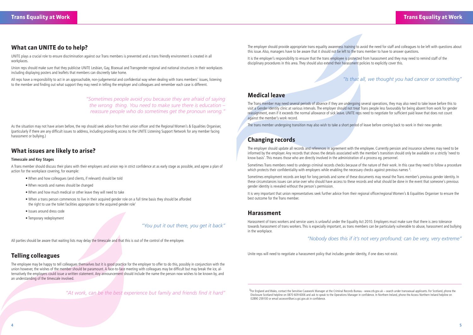### **What can UNITE do to help?**

UNITE plays a crucial role to ensure discrimination against our Trans members is prevented and a trans friendly environment is created in all workplaces.

Union reps should make sure that they publicise UNITE Lesbian, Gay, Bisexual and Transgender regional and national structures in their workplaces including displaying posters and leaflets that members can discreetly take home.

All reps have a responsibility to act in an approachable, non-judgemental and confidential way when dealing with trans members' issues, listening to the member and finding out what support they may need in telling the employer and colleagues and remember each case is different.

> *"Sometimes people avoid you because they are afraid of saying the wrong thing. You need to make sure there is education – reassure people who do sometimes get the pronoun wrong."*

As the situation may not have arisen before, the rep should seek advice from their union officer and the Regional Women's & Equalities Organiser, (particularly if there are any difficult issues to address, including providing access to the UNITE Listening Support Network for any member facing harassment or bullying.)

### **What issues are likely to arise?**

### **Timescale and Key Stages**

A Trans member should discuss their plans with their employers and union rep in strict confidence at as early stage as possible, and agree a plan of action for the workplace covering, for example:

It is the employer's responsibility to ensure that the trans employee is protected from harassment and they may need to remind staff of the disciplinary procedures in this area. They should also extend their harassment policies to explicitly cover this.

- When and how colleagues (and clients, if relevant) should be told
- When records and names should be changed
- When and how much medical or other leave they will need to take
- When a trans person commences to live in their acquired gender role on a full time basis they should be afforded the right to use the toilet facilities appropriate to the acquired gender role'
- Issues around dress code
- Temporary redeployment

*"You put it out there, you get it back"*

All parties should be aware that waiting lists may delay the timescale and that this is out of the control of the employee.

### **Telling colleagues**

Sometimes Trans members need to undergo criminal records checks because of the nature of their work. In this case they need to follow a procedure which protects their confidentiality with employers while enabling the necessary checks against previous names 3.

The employee may be happy to tell colleagues themselves but it is good practice for the employer to offer to do this, possibly in conjunction with the union however, the wishes of the member should be paramount. A face-to-face meeting with colleagues may be difficult but may break the ice, alternatively the employers could issue a written statement. Any announcement should include the name the person now wishes to be known by, and an understanding of the timescale involved.

*"At work, can be the best experience but family and friends find it hard"*

The employer should provide appropriate trans equality awareness training to avoid the need for staff and colleagues to be left with questions about this issue. Also, managers have to be aware that it should not be left to the trans member to have to answer questions.

<sup>3</sup>For England and Wales, contact the Sensitive Casework Manager at the Criminal Records Bureau - www.crb.gov.uk – search under transsexual applicants. For Scotland, phone the Disclosure Scotland helpline on 0870 609 6006 and ask to speak to the Operations Manager in confidence. In Northern Ireland, phone the Access Northern Ireland helpline on 02890 259100 or email accessni@ani.x.gsi.gov.uk in confidence.

### *"Is that all, we thought you had cancer or something"*

### **Medical leave**

The Trans member may need several periods of absence if they are undergoing several operations, they may also need to take leave before this to visit a Gender Identity clinic at various intervals. The employer should not treat Trans people less favourably for being absent from work for gender reassignment, even if it exceeds the normal allowance of sick leave. UNITE reps need to negotiate for sufficient paid leave that does not count against the member's work record.

The trans member undergoing transition may also wish to take a short period of leave before coming back to work in their new gender.

# **Changing records**

The employer should update all records and references in agreement with the employee. Currently pension and insurance schemes may need to be informed by the employer. Any records that shows the details associated with the member's transition should only be available on a strictly 'need to know basis'. This means those who are directly involved in the administration of a process eg. personnel.

Sometimes employment records are kept for long periods and some of these documents may reveal the Trans member's previous gender identity. In these circumstances issues can arise over who should have access to these records and what should be done in the event that someone's previous gender identity is revealed without the person's permission.

It is very important that union representatives seek further advice from their regional officer/regional Women's & Equalities Organiser to ensure the best outcome for the Trans member.

### **Harassment**

Harassment of trans workers and service users is unlawful under the Equality Act 2010. Employers must make sure that there is zero tolerance towards harassment of trans workers. This is especially important, as trans members can be particularly vulnerable to abuse, harassment and bullying in the workplace.

### *"Nobody does this if it's not very profound; can be very, very extreme"*

Unite reps will need to negotiate a harassment policy that includes gender identity, if one does not exist.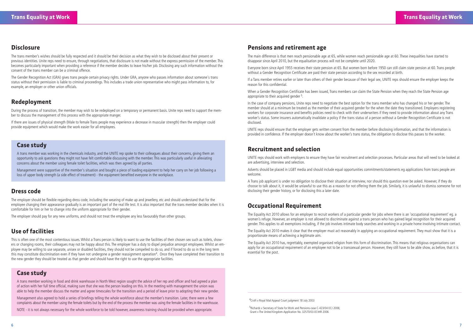### **Disclosure**

The trans member's wishes should be fully respected and it should be their decision as what they wish to be disclosed about their present or previous identities. Unite reps need to ensure, through negotiations, that disclosure is not made without the express permission of the member. This becomes particularly important when providing a reference if the member decides to leave his/her job. Disclosing any such information without the consent of the trans member can be a criminal offence.

The Gender Recognition Act (GRA) gives trans people certain privacy rights. Under GRA, anyone who passes information about someone's trans status without their permission is liable to criminal proceedings. This includes a trade union representative who might pass information to, for example, an employer or other union officials.

### **Redeployment**

During the process of transition, the member may wish to be redeployed on a temporary or permanent basis. Unite reps need to support the member to discuss the management of this process with the appropriate manger.

If there are issues of physical strength (Male to female Trans people may experience a decrease in muscular strength) then the employer could provide equipment which would make the work easier for all employees.

### **Dress code**

The employer should be flexible regarding dress code, including the wearing of make up and jewellery, etc and should understand that for the employee changing their appearance gradually is an important part of the real life test. It is also important that the trans member decides when it is comfortable for him or her to change into the uniform appropriate for their gender.

The employer should pay for any new uniforms, and should not treat the employee any less favourably than other groups.

## **Use of facilities**

This is often one of the most contentious issues. Whilst a Trans person is likely to want to use the facilities of their chosen sex such as toilets, showers or changing rooms, their colleagues may not be happy about this. The employer has a duty to dispel prejudice amongst employees. Whilst an employee may be willing to use separate, unisex or disabled facilities, they should not be compelled to do so, and if forced to do so in the long term this may constitute discrimination even if they have not undergone a gender reassignment operation<sup>4</sup>. Once they have completed their transition to the new gender they should be treated as that gender and should have the right to use the appropriate facilities.

### **Pensions and retirement age**

The main difference is that men reach pensionable age at 65, while women reach pensionable age at 60. These inequalities have started to disappear since April 2010, but the equalisation process will not be complete until 2020.

apply for an occupational requirement of an employee not to be a transsexual person. However, they still have to be able show, as before, that it is essential for the post.

without a Gender Recognition Certificate are paid their state pension according to the sex recorded at birth.

If a Tans member retires earlier or later than others of their gender because of their legal sex, UNITE reps should ensure the employer keeps the reason for this confidential.

When a Gender Recognition Certificate has been issued, Trans members can claim the State Pension when they reach the State Pension age appropriate to their acquired gender 5.

In the case of company pensions, Unite reps need to negotiate the best option for the trans member who has changed his or her gender. The member should at a minimum be treated as the member of their acquired gender for the when the date they transitioned. Employers registering workers for corporate insurance and benefits policies need to check with their underwriters if they need to provide information about any Trans worker's status. Some insurers automatically invalidate a policy if the trans status of a person without a Gender Recognition Certificate is not disclosed.

UNITE reps should ensure that the employer gets written consent from the member before disclosing information, and that the information is provided in confidence. If the employer doesn't know about the worker's trans status, the obligation to disclose this passes to the worker.

### **Recruitment and selection**

- 
- Everyone born since April 1955 receives their state pension at 65. But women born before 1950 can still claim state pension at 60. Trans people
	-
	-
	-
	-
	-
	-
	-
	-
	-
- The Equality Act 2010 has, regrettably, exempted organised religion from this form of discrimination. This means that religious organisations can

UNITE reps should work with employers to ensure they have fair recruitment and selection processes. Particular areas that will need to be looked at are advertising, interview and selection.

Adverts should be placed in LGBT media and should include equal opportunities commitments/statements eg applications from trans people are welcome.

A Trans job applicant is under no obligation to disclose their situation at interview, nor should this question ever be asked. However, if they do choose to talk about it, it would be unlawful to use this as a reason for not offering them the job. Similarly, it is unlawful to dismiss someone for not disclosing their gender history, or for disclosing this a later date.

### **Occupational Requirement**

The Equality Act 2010 allows for an employer to recruit workers of a particular gender for jobs where there is an 'occupational requirement' eg. a women's refuge. However, an employer is not allowed to discriminate against a trans person who has gained legal recognition for their acquired gender. This applies to all exemptions including, if the job involves intimate body searches and working in a private home involving intimate contact.

The Equality Act 2010 makes it clear that the employer must act reasonably in applying an occupational requirement. They must show that it is a proportionate means of achieving a legitimate aim.

### **Case study**

A trans member was working in the chemicals industry, and the UNITE rep spoke to their colleagues about their concerns, giving them an opportunity to ask questions they might not have felt comfortable discussing with the member. This was particularly useful in alleviating concerns about the member using female toilet facilities, which was then agreed by all parties.

Management were supportive of the member's situation and bought a piece of loading equipment to help her carry on her job following a loss of upper body strength (a side effect of treatment) - the equipment benefited everyone in the workplace.

### **Case study**

A trans member working in food and drink warehouse in North West region sought the advice of her rep and officer and had agreed a plan of action with her full time official, making sure that she was the person leading on this. In the meeting with management the union was able to help the member discuss the matter and agree timescales for the transition and a period of leave prior to adopting their new gender.

Management also agreed to hold a series of briefings telling the whole workforce about the member's transition. Later, there were a few complaints about the member using the female toilets but by the end of the process the member was using the female facilities in the warehouse.

NOTE - it is not always necessary for the whole workforce to be told however, awareness training should be provided when appropriate.

4Croft v Royal Mail Appeal Court judgment 18 July 2003

 5Richards v Secretary of State for Work and Pensions-case C-423/04 ECJ 2006; Grant v The United Kingdom-Application No. 32570/03-ECtHR 2006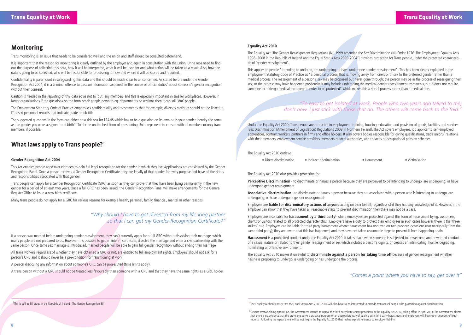### **Monitoring**

Trans monitoring is an issue that needs to be considered well and the union and staff should be consulted beforehand.

It is important that the reason for monitoring is clearly outlined by the employer and again in consultation with the union. Unite reps need to find out the purpose of collecting this data, how it will be interpreted, what it will be used for and what action will be taken as a result. Also, how the data is going to be collected, who will be responsible for processing it, how and where it will be stored and reported.

Confidentiality is paramount in safeguarding this data and this should be made clear to all concerned. As stated before under the Gender Recognition Act 2004, it is a criminal offence to pass on information acquired 'in the course of official duties' about someone's gender recognition without their consent.

Caution is needed in the reporting of this data so as not to 'out' any members and this is especially important in smaller workplaces. However, in larger organisations if the questions on the form break people down to eg. departments or sections then it can still 'out' people.

The Employment Statutory Code of Practice emphasises confidentiality and recommends that for example, diversity statistics should not be linked to IT-based personnel records that indicate grade or job title

The suggested questions in the form can either be a tick box for TRANS which has to be a question on its own or 'is your gender identity the same as the gender you were assigned to at birth?' To decide on the best form of questioning Unite reps need to consult with all members or only trans members, if possible.

### **What laws apply to Trans people?**<sup>6</sup>

### **Gender Recognition Act 2004**

This Act enables people aged over eighteen to gain full legal recognition for the gender in which they live. Applications are considered by the Gender Recognition Panel. Once a person receives a Gender Recognition Certificate, they are legally of that gender for every purpose and have all the rights and responsibilities associated with that gender.

Trans people can apply for a Gender Recognition Certificate (GRC) as soon as they can prove that they have been living permanently in the new gender for a period of at least two years. Once a full GRC has been issued, the Gender Recognition Panel will make arrangements for the General Register Office to issue a new birth certificate.

### "So easy to get isolated at work. People who two years ago talked to me, *don't now. I just stick with those that do. The others will come back to the fold."*

Many trans people do not apply for a GRC for various reasons for example health, personal, family, financial, marital or other reasons.

*"Why should I have to get divorced from my life-long partner so that I can get my Gender Recognition Certificate?"* **Perceptive Discrimination** - to discriminate or harass a person because they are perceived to be Intending to undergo, are undergoing, or have undergone gender reassignment

If a person was married before undergoing gender reassignment, they can't currently apply for a full GRC without dissolving their marriage, which many people are not prepared to do. However it is possible to get an interim certificate, dissolve the marriage and enter a civil partnership with the same person. Once same sex marriage is introduced, married people will be able to gain full gender recognition without ending their marriage.

All Trans workers regardless of whether they have obtained a GRC or not, are entitled to full employment rights. Employers should not ask for a person's GRC and it should never be a pre-condition for transitioning at work.

A person disclosing any information about someone's GRC can be prosecuted (time limits apply).

A trans person without a GRC should not be treated less favourably than someone with a GRC and that they have the same rights as a GRC holder.

### **Equality Act 2010**

The Equality Act [The Gender Reassignment Regulations (NI) 1999 amended the Sex Discrimination (NI) Order 1976. The Employment Equality Acts 1998–2008 in the Republic of Ireland and the Equal Status Acts 2000-20047] provides protection for Trans people, under the protected characteristic of 'gender reassignment'.

 $8$ Despite overwhelming opposition, the Government intends to repeal the third party harassment provisions in the Equality Act 2010, taking effect in April 2013. The Government claims that there is no evidence that the provisions serve a practical purpose or an appropriate way of dealing with third party harassment and employees will have other avenues of legal redress. Following the repeal there will be nothing in the Equality Act 2010 that makes explicit reference to employer liability.

This applies to people "intending to undergo, are undergoing, or have undergone gender reassignment". This has been clearly explained in the Employment Statutory Code of Practice as "a personal process, that is, moving away from one's birth sex to the preferred gender rather than a medical process. The reassignment of a person's sex may be proposed but never gone through; the person may be in the process of reassigning their sex; or the process may have happened previously. It may include undergoing the medical gender reassignment treatments, but it does not require someone to undergo medical treatment in order to be protected" which makes this a social process rather than a medical one.

Under the Equality Act 2010, Trans people are protected in employment, training, housing, education and provision of goods, facilities and services [Sex Discrimination (Amendment of Legislation) Regulations 2008 in Northern Ireland]. The Act covers employees, job applicants, self-employed, apprentices, contract workers, partners in firms and office holders. It also covers bodies responsible for giving qualifications, trade unions' relations with their members, employment service providers, members of local authorities, and trustees of occupational pension schemes.

The Equality Act 2010 outlaws:

• Direct discrimination • Indirect discrimination • Harassment • Victimisation

The Equality Act 2010 also provides protection for:

**Associative discrimination** - to discriminate or harass a person because they are associated with a person who is intending to undergo, are undergoing, or have undergone gender reassignment

Employers are **liable for discriminatory actions of anyone** acting on their behalf, regardless of if they had any knowledge of it. However, if the employer can show that they have taken all reasonable steps to prevent discrimination then there may not be a case.

Employers are also liable for **harassment by a third party**8 where employees are protected against this form of harassment by eg. customers, clients or visitors related to all protected characteristics. Employers have a duty to protect their employees in such cases however there is the 'three strikes' rule. Employers can be liable for third party harassment where: harassment has occurred on two previous occasions (not necessarily from the same third party); they are aware that this has happened; and they have not taken reasonable steps to prevent it from happening again.

**Harassment** is a prohibited conduct under the Equality Act 2010. It takes place when someone is subjected to unwelcome and unwanted conduct of a sexual nature or related to their gender reassignment or sex which violates a person's dignity, or creates an intimidating, hostile, degrading, humiliating or offensive environment.

The Equality Act 2010 makes it unlawful to **discriminate against a person for taking time off** because of gender reassignment whether he/she is proposing to undergo, is undergoing or has undergone the process.

<sup>6</sup>This is still at Bill stage in the Republic of Ireland - The Gender Recognition Bill **State of the Conservalue of the Seculty Authority notes** that the Equal Status Acts 2000-2004 will also have to be interpreted to pro

### *"Comes a point where you have to say, get over it"*